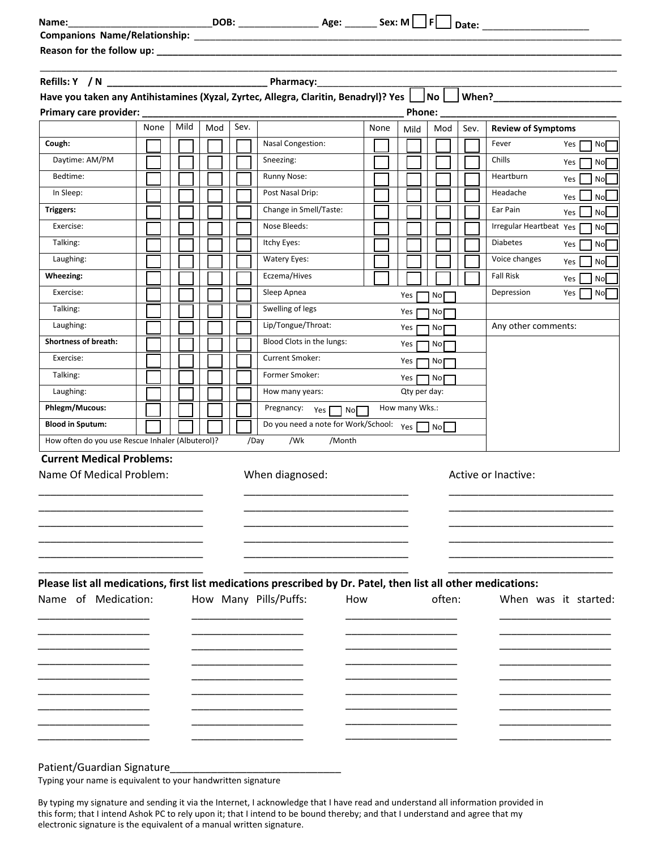| Primary care provider: _____<br>None<br>Cough:   |      |     |      |                                            |      |                |                      |      |                                                                                                                                                                                                                                 |
|--------------------------------------------------|------|-----|------|--------------------------------------------|------|----------------|----------------------|------|---------------------------------------------------------------------------------------------------------------------------------------------------------------------------------------------------------------------------------|
|                                                  |      |     |      |                                            |      |                |                      |      |                                                                                                                                                                                                                                 |
|                                                  |      |     |      |                                            |      |                |                      |      |                                                                                                                                                                                                                                 |
|                                                  |      |     |      |                                            |      |                |                      |      |                                                                                                                                                                                                                                 |
|                                                  |      |     |      |                                            |      |                |                      |      | Have you taken any Antihistamines (Xyzal, Zyrtec, Allegra, Claritin, Benadryl)? Yes No When?<br>Mo When? Muhen? Muhen? Muhen? Muhen? Muhen? Muhen? Muhen? Muhen? Muhen? Muhen? Muhen? Muhen? Muhen? Muhen? Muhen? Muhen? Muhen? |
|                                                  |      |     |      |                                            |      |                | Phone: $\frac{1}{1}$ |      |                                                                                                                                                                                                                                 |
|                                                  | Mild | Mod | Sev. |                                            | None | Mild           | Mod                  | Sev. | <b>Review of Symptoms</b>                                                                                                                                                                                                       |
|                                                  |      |     |      | <b>Nasal Congestion:</b>                   |      |                |                      |      | Fever<br>No<br>Yes                                                                                                                                                                                                              |
| Daytime: AM/PM                                   |      |     |      | Sneezing:                                  |      |                |                      |      | Chills<br>Yes<br>No                                                                                                                                                                                                             |
| Bedtime:                                         |      |     |      | Runny Nose:                                |      |                |                      |      | Heartburn<br>Yes<br>No                                                                                                                                                                                                          |
| In Sleep:                                        |      |     |      | Post Nasal Drip:                           |      |                |                      |      | Headache<br>Yes<br>No                                                                                                                                                                                                           |
| <b>Triggers:</b>                                 |      |     |      | Change in Smell/Taste:                     |      |                |                      |      | Ear Pain<br>Yes<br>No                                                                                                                                                                                                           |
| Exercise:                                        |      |     |      | Nose Bleeds:                               |      |                |                      |      | Irregular Heartbeat Yes<br>No                                                                                                                                                                                                   |
| Talking:                                         |      |     |      | Itchy Eyes:                                |      |                |                      |      | <b>Diabetes</b><br>Yes<br><b>No</b>                                                                                                                                                                                             |
| Laughing:                                        |      |     |      | Watery Eyes:                               |      |                |                      |      | Voice changes<br>No<br>Yes                                                                                                                                                                                                      |
| Wheezing:                                        |      |     |      | Eczema/Hives                               |      |                |                      |      | <b>Fall Risk</b><br>No<br>Yes                                                                                                                                                                                                   |
| Exercise:                                        |      |     |      | Sleep Apnea                                |      | Yes            | No <sub>l</sub>      |      | Depression<br>Yes<br>No                                                                                                                                                                                                         |
| Talking:                                         |      |     |      | Swelling of legs                           |      | Yes [          | No <b>The Stru</b>   |      |                                                                                                                                                                                                                                 |
| Laughing:                                        |      |     |      | Lip/Tongue/Throat:                         |      | Yes            | No                   |      | Any other comments:                                                                                                                                                                                                             |
| <b>Shortness of breath:</b>                      |      |     |      | Blood Clots in the lungs:                  |      | Yes [          | $\mathsf{No}\Box$    |      |                                                                                                                                                                                                                                 |
| Exercise:                                        |      |     |      | Current Smoker:                            |      |                | Yes $\Box$ No $\Box$ |      |                                                                                                                                                                                                                                 |
| Talking:                                         |      |     |      | Former Smoker:                             |      | Yes $\Gamma$   | No <sub>l</sub>      |      |                                                                                                                                                                                                                                 |
| Laughing:                                        |      |     |      | How many years:                            |      | Qty per day:   |                      |      |                                                                                                                                                                                                                                 |
| Phlegm/Mucous:                                   |      |     |      | Pregnancy: Yes                             |      | How many Wks.: |                      |      |                                                                                                                                                                                                                                 |
| <b>Blood in Sputum:</b>                          |      |     |      | Do you need a note for Work/School: Yes No |      |                |                      |      |                                                                                                                                                                                                                                 |
| How often do you use Rescue Inhaler (Albuterol)? |      |     |      | /Wk<br>/Month<br>/Day                      |      |                |                      |      |                                                                                                                                                                                                                                 |
| <b>Current Medical Problems:</b>                 |      |     |      |                                            |      |                |                      |      |                                                                                                                                                                                                                                 |
| Name Of Medical Problem:                         |      |     |      | When diagnosed:                            |      |                |                      |      | Active or Inactive:                                                                                                                                                                                                             |
|                                                  |      |     |      |                                            |      |                |                      |      |                                                                                                                                                                                                                                 |
|                                                  |      |     |      |                                            |      |                |                      |      |                                                                                                                                                                                                                                 |
|                                                  |      |     |      |                                            |      |                |                      |      |                                                                                                                                                                                                                                 |
|                                                  |      |     |      |                                            |      |                |                      |      |                                                                                                                                                                                                                                 |
|                                                  |      |     |      |                                            |      |                |                      |      |                                                                                                                                                                                                                                 |

Patient/Guardian Signature\_

Typing your name is equivalent to your handwritten signature

By typing my signature and sending it via the Internet, I acknowledge that I have read and understand all information provided in this form; that I intend Ashok PC to rely upon it; that I intend to be bound thereby; and that I understand and agree that my electronic signature is the equivalent of a manual written signature.